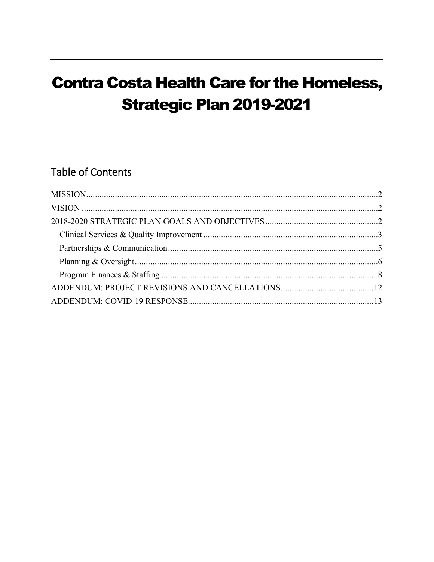# **Contra Costa Health Care for the Homeless, Strategic Plan 2019-2021**

## **Table of Contents**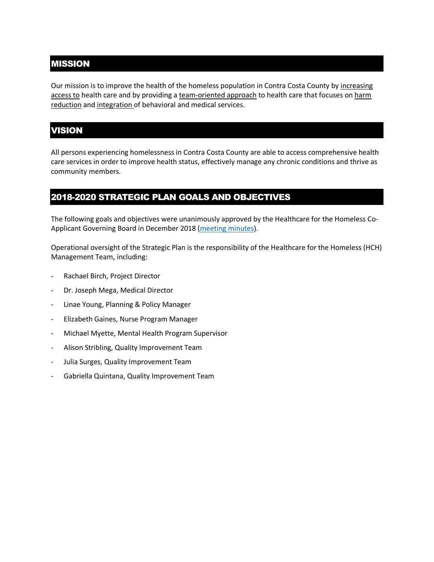### <span id="page-1-0"></span>MISSION

Our mission is to improve the health of the homeless population in Contra Costa County by increasing access to health care and by providing a team-oriented approach to health care that focuses on harm reduction and integration of behavioral and medical services.

## <span id="page-1-1"></span>VISION

All persons experiencing homelessness in Contra Costa County are able to access comprehensive health care services in order to improve health status, effectively manage any chronic conditions and thrive as community members.

#### <span id="page-1-2"></span>2018-2020 STRATEGIC PLAN GOALS AND OBJECTIVES

The following goals and objectives were unanimously approved by the Healthcare for the Homeless Co-Applicant Governing Board in December 2018 [\(meeting minutes\)](https://cchealth.org/healthcare-for-homeless/pdf/2018-1219-gb-minutes.pdf).

Operational oversight of the Strategic Plan is the responsibility of the Healthcare for the Homeless (HCH) Management Team, including:

- Rachael Birch, Project Director
- Dr. Joseph Mega, Medical Director
- Linae Young, Planning & Policy Manager
- Elizabeth Gaines, Nurse Program Manager
- Michael Myette, Mental Health Program Supervisor
- Alison Stribling, Quality Improvement Team
- Julia Surges, Quality Improvement Team
- Gabriella Quintana, Quality Improvement Team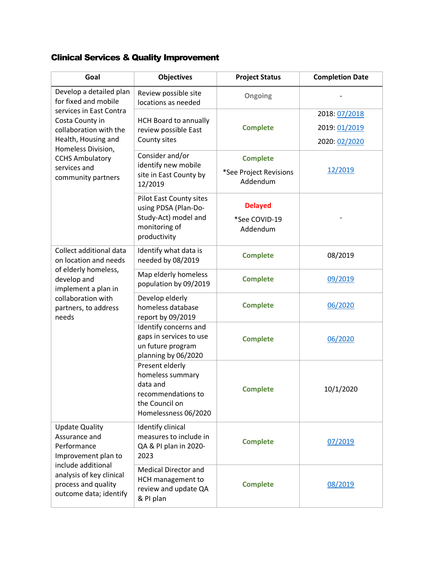## <span id="page-2-0"></span>Clinical Services & Quality Improvement

| Goal                                                                                            | <b>Objectives</b>                                                                                               | <b>Project Status</b>                                 | <b>Completion Date</b> |
|-------------------------------------------------------------------------------------------------|-----------------------------------------------------------------------------------------------------------------|-------------------------------------------------------|------------------------|
| Develop a detailed plan<br>for fixed and mobile                                                 | Review possible site<br>locations as needed                                                                     | Ongoing                                               |                        |
| services in East Contra<br>Costa County in                                                      | <b>HCH Board to annually</b>                                                                                    |                                                       | 2018: 07/2018          |
| collaboration with the                                                                          | review possible East                                                                                            | <b>Complete</b>                                       | 2019: 01/2019          |
| Health, Housing and<br>Homeless Division,                                                       | County sites                                                                                                    |                                                       | 2020: 02/2020          |
| <b>CCHS Ambulatory</b><br>services and<br>community partners                                    | Consider and/or<br>identify new mobile<br>site in East County by<br>12/2019                                     | <b>Complete</b><br>*See Project Revisions<br>Addendum | 12/2019                |
|                                                                                                 | Pilot East County sites                                                                                         | <b>Delayed</b>                                        |                        |
|                                                                                                 | using PDSA (Plan-Do-<br>Study-Act) model and<br>monitoring of<br>productivity                                   | *See COVID-19<br>Addendum                             |                        |
| Collect additional data<br>on location and needs                                                | Identify what data is<br>needed by 08/2019                                                                      | <b>Complete</b>                                       | 08/2019                |
| of elderly homeless,<br>develop and<br>implement a plan in                                      | Map elderly homeless<br>population by 09/2019                                                                   | <b>Complete</b>                                       | 09/2019                |
| collaboration with<br>partners, to address<br>needs                                             | Develop elderly<br>homeless database<br>report by 09/2019                                                       | <b>Complete</b>                                       | 06/2020                |
|                                                                                                 | Identify concerns and<br>gaps in services to use<br>un future program<br>planning by 06/2020                    | <b>Complete</b>                                       | 06/2020                |
|                                                                                                 | Present elderly<br>homeless summary<br>data and<br>recommendations to<br>the Council on<br>Homelessness 06/2020 | <b>Complete</b>                                       | 10/1/2020              |
| <b>Update Quality</b><br>Assurance and<br>Performance<br>Improvement plan to                    | Identify clinical<br>measures to include in<br>QA & PI plan in 2020-<br>2023                                    | <b>Complete</b>                                       | 07/2019                |
| include additional<br>analysis of key clinical<br>process and quality<br>outcome data; identify | <b>Medical Director and</b><br>HCH management to<br>review and update QA<br>& PI plan                           | <b>Complete</b>                                       | 08/2019                |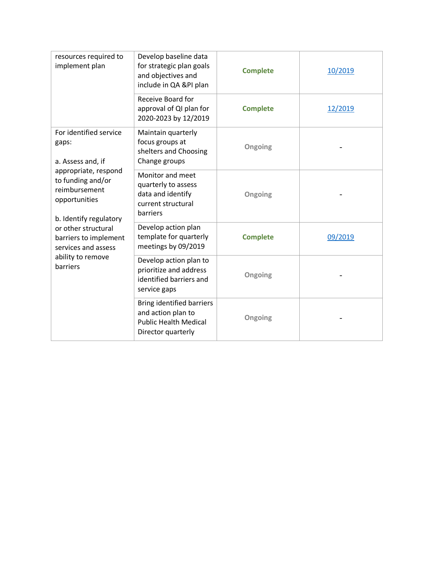| resources required to<br>implement plan                                                                                                                                                                       | Develop baseline data<br>for strategic plan goals<br>and objectives and<br>include in QA &PI plan            | <b>Complete</b> | 10/2019 |
|---------------------------------------------------------------------------------------------------------------------------------------------------------------------------------------------------------------|--------------------------------------------------------------------------------------------------------------|-----------------|---------|
|                                                                                                                                                                                                               | Receive Board for<br>approval of QI plan for<br>2020-2023 by 12/2019                                         | <b>Complete</b> | 12/2019 |
| For identified service<br>gaps:<br>a. Assess and, if                                                                                                                                                          | Maintain quarterly<br>focus groups at<br>shelters and Choosing<br>Change groups                              | Ongoing         |         |
| appropriate, respond<br>to funding and/or<br>reimbursement<br>opportunities<br>b. Identify regulatory<br>or other structural<br>barriers to implement<br>services and assess<br>ability to remove<br>barriers | Monitor and meet<br>quarterly to assess<br>data and identify<br>current structural<br>barriers               | Ongoing         |         |
|                                                                                                                                                                                                               | Develop action plan<br>template for quarterly<br>meetings by 09/2019                                         | <b>Complete</b> | 09/2019 |
|                                                                                                                                                                                                               | Develop action plan to<br>prioritize and address<br>identified barriers and<br>service gaps                  | Ongoing         |         |
|                                                                                                                                                                                                               | <b>Bring identified barriers</b><br>and action plan to<br><b>Public Health Medical</b><br>Director quarterly | Ongoing         |         |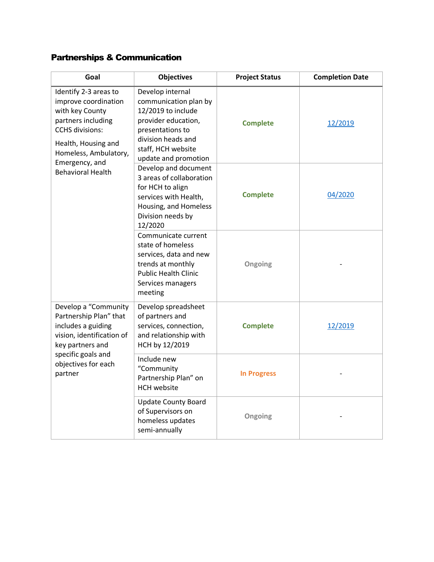## <span id="page-4-0"></span>Partnerships & Communication

| Goal                                                                                                                                                                          | <b>Objectives</b>                                                                                                                                                              | <b>Project Status</b> | <b>Completion Date</b> |
|-------------------------------------------------------------------------------------------------------------------------------------------------------------------------------|--------------------------------------------------------------------------------------------------------------------------------------------------------------------------------|-----------------------|------------------------|
| Identify 2-3 areas to<br>improve coordination<br>with key County<br>partners including<br><b>CCHS</b> divisions:<br>Health, Housing and<br>Homeless, Ambulatory,              | Develop internal<br>communication plan by<br>12/2019 to include<br>provider education,<br>presentations to<br>division heads and<br>staff, HCH website<br>update and promotion | <b>Complete</b>       | 12/2019                |
| Emergency, and<br><b>Behavioral Health</b>                                                                                                                                    | Develop and document<br>3 areas of collaboration<br>for HCH to align<br>services with Health,<br>Housing, and Homeless<br>Division needs by<br>12/2020                         | <b>Complete</b>       | 04/2020                |
|                                                                                                                                                                               | Communicate current<br>state of homeless<br>services, data and new<br>trends at monthly<br><b>Public Health Clinic</b><br>Services managers<br>meeting                         | Ongoing               |                        |
| Develop a "Community<br>Partnership Plan" that<br>includes a guiding<br>vision, identification of<br>key partners and<br>specific goals and<br>objectives for each<br>partner | Develop spreadsheet<br>of partners and<br>services, connection,<br>and relationship with<br>HCH by 12/2019                                                                     | <b>Complete</b>       | 12/2019                |
|                                                                                                                                                                               | Include new<br>"Community<br>Partnership Plan" on<br><b>HCH</b> website                                                                                                        | <b>In Progress</b>    |                        |
|                                                                                                                                                                               | <b>Update County Board</b><br>of Supervisors on<br>homeless updates<br>semi-annually                                                                                           | Ongoing               |                        |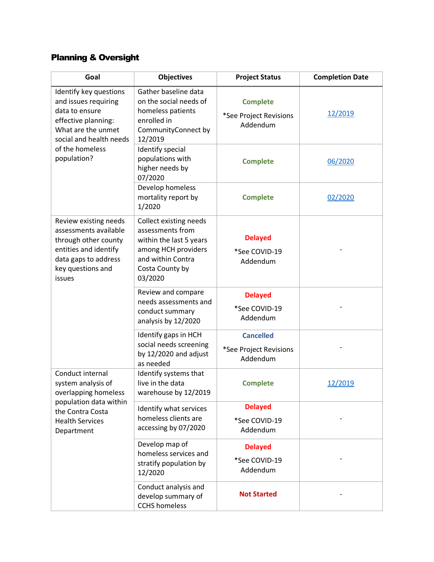## <span id="page-5-0"></span>Planning & Oversight

| Goal                                                                                                                                                   | <b>Objectives</b>                                                                                                                               | <b>Project Status</b>                                  | <b>Completion Date</b> |
|--------------------------------------------------------------------------------------------------------------------------------------------------------|-------------------------------------------------------------------------------------------------------------------------------------------------|--------------------------------------------------------|------------------------|
| Identify key questions<br>and issues requiring<br>data to ensure<br>effective planning:<br>What are the unmet<br>social and health needs               | Gather baseline data<br>on the social needs of<br>homeless patients<br>enrolled in<br>CommunityConnect by<br>12/2019                            | <b>Complete</b><br>*See Project Revisions<br>Addendum  | 12/2019                |
| of the homeless<br>population?                                                                                                                         | Identify special<br>populations with<br>higher needs by<br>07/2020                                                                              | <b>Complete</b>                                        | 06/2020                |
|                                                                                                                                                        | Develop homeless<br>mortality report by<br>1/2020                                                                                               | <b>Complete</b>                                        | 02/2020                |
| Review existing needs<br>assessments available<br>through other county<br>entities and identify<br>data gaps to address<br>key questions and<br>issues | Collect existing needs<br>assessments from<br>within the last 5 years<br>among HCH providers<br>and within Contra<br>Costa County by<br>03/2020 | <b>Delayed</b><br>*See COVID-19<br>Addendum            |                        |
|                                                                                                                                                        | Review and compare<br>needs assessments and<br>conduct summary<br>analysis by 12/2020                                                           | <b>Delayed</b><br>*See COVID-19<br>Addendum            |                        |
|                                                                                                                                                        | Identify gaps in HCH<br>social needs screening<br>by 12/2020 and adjust<br>as needed                                                            | <b>Cancelled</b><br>*See Project Revisions<br>Addendum |                        |
| Conduct internal<br>system analysis of<br>overlapping homeless<br>population data within<br>the Contra Costa<br><b>Health Services</b><br>Department   | Identify systems that<br>live in the data<br>warehouse by 12/2019                                                                               | <b>Complete</b>                                        | 12/2019                |
|                                                                                                                                                        | Identify what services<br>homeless clients are<br>accessing by 07/2020                                                                          | <b>Delayed</b><br>*See COVID-19<br>Addendum            |                        |
|                                                                                                                                                        | Develop map of<br>homeless services and<br>stratify population by<br>12/2020                                                                    | <b>Delayed</b><br>*See COVID-19<br>Addendum            |                        |
|                                                                                                                                                        | Conduct analysis and<br>develop summary of<br><b>CCHS</b> homeless                                                                              | <b>Not Started</b>                                     |                        |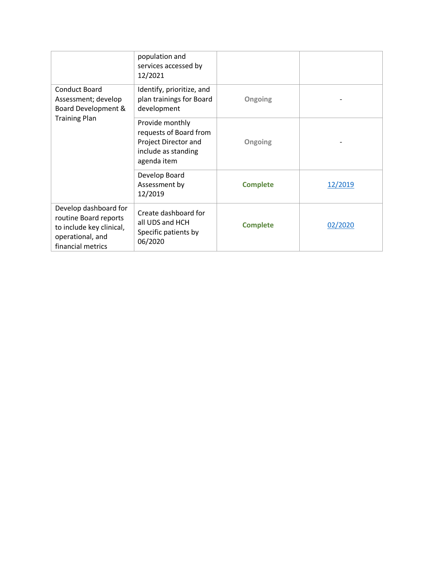|                                                                                                                     | population and<br>services accessed by<br>12/2021                                                       |                 |         |
|---------------------------------------------------------------------------------------------------------------------|---------------------------------------------------------------------------------------------------------|-----------------|---------|
| <b>Conduct Board</b><br>Assessment; develop<br>Board Development &                                                  | Identify, prioritize, and<br>plan trainings for Board<br>development                                    | Ongoing         |         |
| <b>Training Plan</b>                                                                                                | Provide monthly<br>requests of Board from<br>Project Director and<br>include as standing<br>agenda item | Ongoing         |         |
|                                                                                                                     | Develop Board<br>Assessment by<br>12/2019                                                               | <b>Complete</b> | 12/2019 |
| Develop dashboard for<br>routine Board reports<br>to include key clinical,<br>operational, and<br>financial metrics | Create dashboard for<br>all UDS and HCH<br>Specific patients by<br>06/2020                              | <b>Complete</b> | 02/2020 |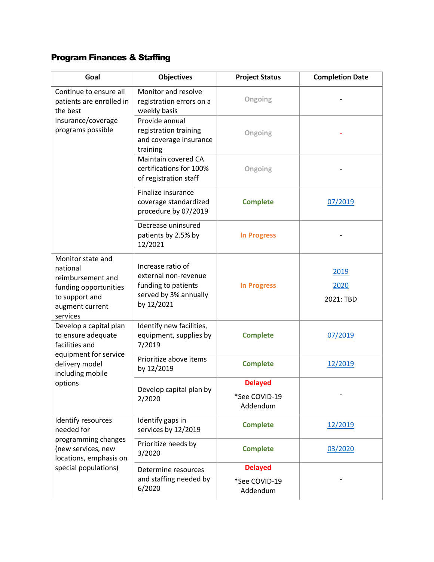## <span id="page-7-0"></span>Program Finances & Staffing

| Goal                                                                                                                         | <b>Objectives</b>                                                                                       | <b>Project Status</b>                       | <b>Completion Date</b>    |
|------------------------------------------------------------------------------------------------------------------------------|---------------------------------------------------------------------------------------------------------|---------------------------------------------|---------------------------|
| Continue to ensure all<br>patients are enrolled in<br>the best                                                               | Monitor and resolve<br>registration errors on a<br>weekly basis                                         | Ongoing                                     |                           |
| insurance/coverage<br>programs possible                                                                                      | Provide annual<br>registration training<br>and coverage insurance<br>training                           | Ongoing                                     |                           |
|                                                                                                                              | Maintain covered CA<br>certifications for 100%<br>of registration staff                                 | Ongoing                                     |                           |
|                                                                                                                              | Finalize insurance<br>coverage standardized<br>procedure by 07/2019                                     | <b>Complete</b>                             | 07/2019                   |
|                                                                                                                              | Decrease uninsured<br>patients by 2.5% by<br>12/2021                                                    | <b>In Progress</b>                          |                           |
| Monitor state and<br>national<br>reimbursement and<br>funding opportunities<br>to support and<br>augment current<br>services | Increase ratio of<br>external non-revenue<br>funding to patients<br>served by 3% annually<br>by 12/2021 | <b>In Progress</b>                          | 2019<br>2020<br>2021: TBD |
| Develop a capital plan<br>to ensure adequate<br>facilities and                                                               | Identify new facilities,<br>equipment, supplies by<br>7/2019                                            | <b>Complete</b>                             | 07/2019                   |
| equipment for service<br>delivery model<br>including mobile                                                                  | Prioritize above items<br>by 12/2019                                                                    | <b>Complete</b>                             | 12/2019                   |
| options                                                                                                                      | Develop capital plan by<br>2/2020                                                                       | <b>Delayed</b><br>*See COVID-19<br>Addendum |                           |
| Identify resources<br>needed for<br>programming changes<br>(new services, new<br>locations, emphasis on                      | Identify gaps in<br>services by 12/2019                                                                 | <b>Complete</b>                             | 12/2019                   |
|                                                                                                                              | Prioritize needs by<br>3/2020                                                                           | <b>Complete</b>                             | 03/2020                   |
| special populations)                                                                                                         | Determine resources<br>and staffing needed by<br>6/2020                                                 | <b>Delayed</b><br>*See COVID-19<br>Addendum |                           |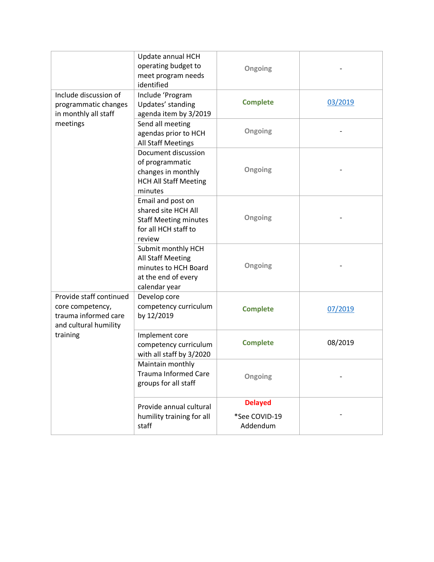|                                                                                              | Update annual HCH<br>operating budget to<br>meet program needs<br>identified                               | Ongoing                                     |         |
|----------------------------------------------------------------------------------------------|------------------------------------------------------------------------------------------------------------|---------------------------------------------|---------|
| Include discussion of<br>programmatic changes<br>in monthly all staff                        | Include 'Program<br>Updates' standing<br>agenda item by 3/2019                                             | <b>Complete</b>                             | 03/2019 |
| meetings                                                                                     | Send all meeting<br>agendas prior to HCH<br><b>All Staff Meetings</b>                                      | Ongoing                                     |         |
|                                                                                              | Document discussion<br>of programmatic<br>changes in monthly<br><b>HCH All Staff Meeting</b><br>minutes    | Ongoing                                     |         |
|                                                                                              | Email and post on<br>shared site HCH All<br><b>Staff Meeting minutes</b><br>for all HCH staff to<br>review | Ongoing                                     |         |
|                                                                                              | Submit monthly HCH<br>All Staff Meeting<br>minutes to HCH Board<br>at the end of every<br>calendar year    | Ongoing                                     |         |
| Provide staff continued<br>core competency,<br>trauma informed care<br>and cultural humility | Develop core<br>competency curriculum<br>by 12/2019                                                        | <b>Complete</b>                             | 07/2019 |
| training                                                                                     | Implement core<br>competency curriculum<br>with all staff by 3/2020                                        | <b>Complete</b>                             | 08/2019 |
|                                                                                              | Maintain monthly<br><b>Trauma Informed Care</b><br>groups for all staff                                    | Ongoing                                     |         |
|                                                                                              | Provide annual cultural<br>humility training for all<br>staff                                              | <b>Delayed</b><br>*See COVID-19<br>Addendum |         |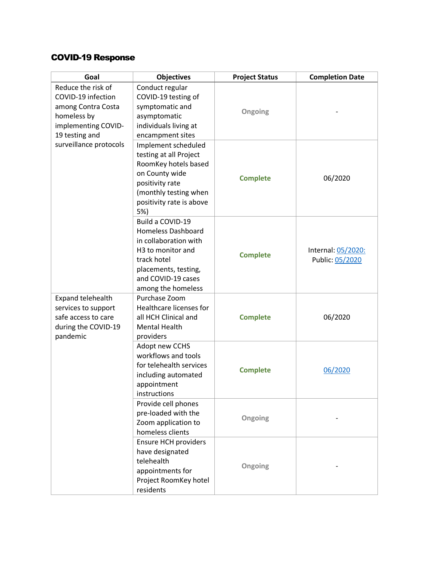### COVID-19 Response

| Goal                                                                                                                   | <b>Objectives</b>                                                                                                                                                                          | <b>Project Status</b> | <b>Completion Date</b>                |
|------------------------------------------------------------------------------------------------------------------------|--------------------------------------------------------------------------------------------------------------------------------------------------------------------------------------------|-----------------------|---------------------------------------|
| Reduce the risk of<br>COVID-19 infection<br>among Contra Costa<br>homeless by<br>implementing COVID-<br>19 testing and | Conduct regular<br>COVID-19 testing of<br>symptomatic and<br>asymptomatic<br>individuals living at<br>encampment sites                                                                     | Ongoing               |                                       |
| surveillance protocols                                                                                                 | Implement scheduled<br>testing at all Project<br>RoomKey hotels based<br>on County wide<br>positivity rate<br>(monthly testing when<br>positivity rate is above<br>5%)                     | <b>Complete</b>       | 06/2020                               |
|                                                                                                                        | Build a COVID-19<br><b>Homeless Dashboard</b><br>in collaboration with<br>H <sub>3</sub> to monitor and<br>track hotel<br>placements, testing,<br>and COVID-19 cases<br>among the homeless | <b>Complete</b>       | Internal: 05/2020:<br>Public: 05/2020 |
| Expand telehealth<br>services to support<br>safe access to care<br>during the COVID-19<br>pandemic                     | Purchase Zoom<br>Healthcare licenses for<br>all HCH Clinical and<br><b>Mental Health</b><br>providers                                                                                      | <b>Complete</b>       | 06/2020                               |
|                                                                                                                        | Adopt new CCHS<br>workflows and tools<br>for telehealth services<br>including automated<br>appointment<br>instructions                                                                     | <b>Complete</b>       | 06/2020                               |
|                                                                                                                        | Provide cell phones<br>pre-loaded with the<br>Zoom application to<br>homeless clients                                                                                                      | Ongoing               |                                       |
|                                                                                                                        | <b>Ensure HCH providers</b><br>have designated<br>telehealth<br>appointments for<br>Project RoomKey hotel<br>residents                                                                     | Ongoing               |                                       |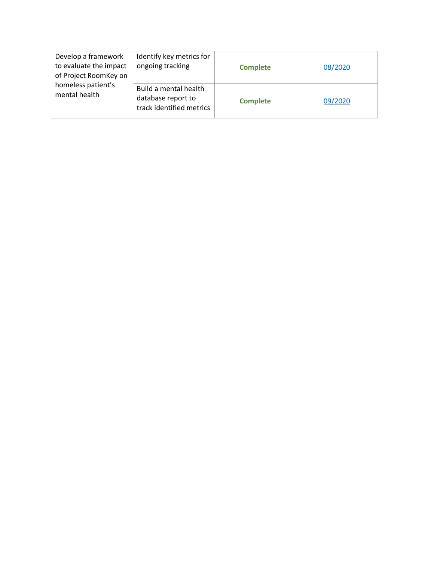| Develop a framework<br>to evaluate the impact<br>of Project RoomKey on | Identify key metrics for<br>ongoing tracking                            | <b>Complete</b> | 08/2020 |
|------------------------------------------------------------------------|-------------------------------------------------------------------------|-----------------|---------|
| homeless patient's<br>mental health                                    | Build a mental health<br>database report to<br>track identified metrics | <b>Complete</b> | 09/2020 |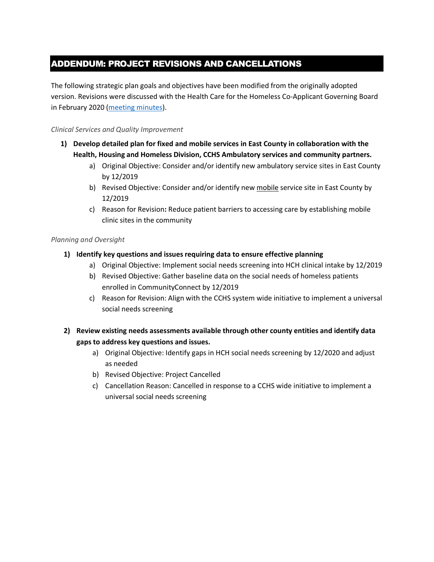### <span id="page-11-0"></span>ADDENDUM: PROJECT REVISIONS AND CANCELLATIONS

The following strategic plan goals and objectives have been modified from the originally adopted version. Revisions were discussed with the Health Care for the Homeless Co-Applicant Governing Board in February 2020 [\(meeting minutes\)](https://cchealth.org/healthcare-for-homeless/pdf/2020-0219-gb-minutes.pdf).

#### *Clinical Services and Quality Improvement*

- **1) Develop detailed plan for fixed and mobile services in East County in collaboration with the Health, Housing and Homeless Division, CCHS Ambulatory services and community partners.**
	- a) Original Objective: Consider and/or identify new ambulatory service sites in East County by 12/2019
	- b) Revised Objective: Consider and/or identify new mobile service site in East County by 12/2019
	- c) Reason for Revision**:** Reduce patient barriers to accessing care by establishing mobile clinic sites in the community

#### *Planning and Oversight*

#### **1) Identify key questions and issues requiring data to ensure effective planning**

- a) Original Objective: Implement social needs screening into HCH clinical intake by 12/2019
- b) Revised Objective: Gather baseline data on the social needs of homeless patients enrolled in CommunityConnect by 12/2019
- c) Reason for Revision: Align with the CCHS system wide initiative to implement a universal social needs screening
- **2) Review existing needs assessments available through other county entities and identify data gaps to address key questions and issues.**
	- a) Original Objective: Identify gaps in HCH social needs screening by 12/2020 and adjust as needed
	- b) Revised Objective: Project Cancelled
	- c) Cancellation Reason: Cancelled in response to a CCHS wide initiative to implement a universal social needs screening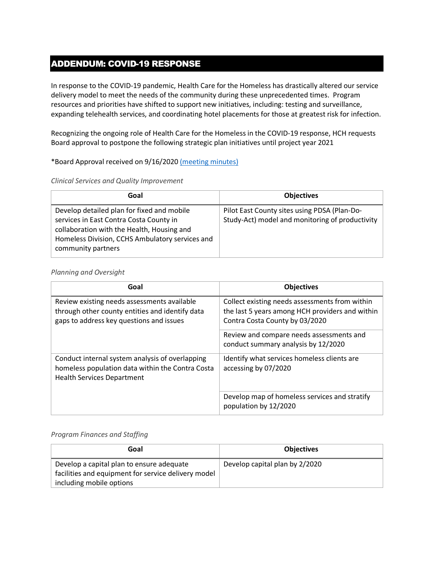## <span id="page-12-0"></span>ADDENDUM: COVID-19 RESPONSE

In response to the COVID-19 pandemic, Health Care for the Homeless has drastically altered our service delivery model to meet the needs of the community during these unprecedented times. Program resources and priorities have shifted to support new initiatives, including: testing and surveillance, expanding telehealth services, and coordinating hotel placements for those at greatest risk for infection.

Recognizing the ongoing role of Health Care for the Homeless in the COVID-19 response, HCH requests Board approval to postpone the following strategic plan initiatives until project year 2021

#### \*Board Approval received on 9/16/2020 [\(meeting minutes\)](https://cchealth.org/healthcare-for-homeless/pdf/2020-0916-gb-minutes.pdf)

#### *Clinical Services and Quality Improvement*

| Goal                                                                                                                                                                                                         | <b>Objectives</b>                                                                               |
|--------------------------------------------------------------------------------------------------------------------------------------------------------------------------------------------------------------|-------------------------------------------------------------------------------------------------|
| Develop detailed plan for fixed and mobile<br>services in East Contra Costa County in<br>collaboration with the Health, Housing and<br>Homeless Division, CCHS Ambulatory services and<br>community partners | Pilot East County sites using PDSA (Plan-Do-<br>Study-Act) model and monitoring of productivity |

#### *Planning and Oversight*

| Goal                                                                                                                                       | <b>Objectives</b>                                                                                                                   |
|--------------------------------------------------------------------------------------------------------------------------------------------|-------------------------------------------------------------------------------------------------------------------------------------|
| Review existing needs assessments available<br>through other county entities and identify data<br>gaps to address key questions and issues | Collect existing needs assessments from within<br>the last 5 years among HCH providers and within<br>Contra Costa County by 03/2020 |
|                                                                                                                                            | Review and compare needs assessments and<br>conduct summary analysis by 12/2020                                                     |
| Conduct internal system analysis of overlapping<br>homeless population data within the Contra Costa<br><b>Health Services Department</b>   | Identify what services homeless clients are<br>accessing by 07/2020                                                                 |
|                                                                                                                                            | Develop map of homeless services and stratify<br>population by 12/2020                                                              |

#### *Program Finances and Staffing*

| Goal                                                                                                                         | <b>Objectives</b>              |
|------------------------------------------------------------------------------------------------------------------------------|--------------------------------|
| Develop a capital plan to ensure adequate<br>facilities and equipment for service delivery model<br>including mobile options | Develop capital plan by 2/2020 |